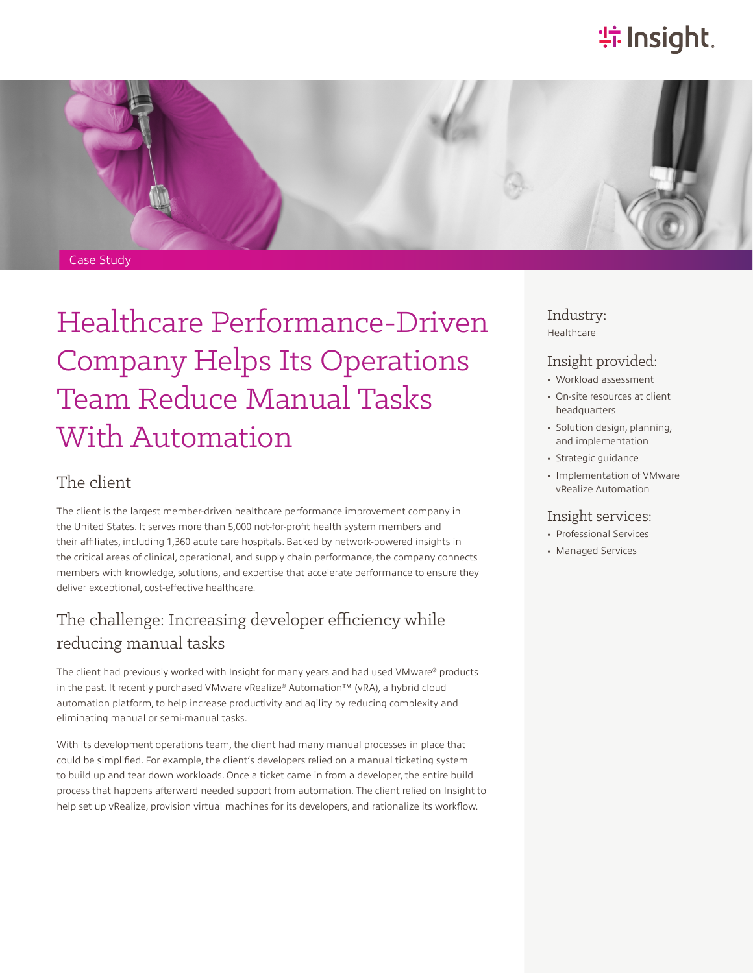## **特Insight**.



# Healthcare Performance-Driven Company Helps Its Operations Team Reduce Manual Tasks With Automation

### The client

The client is the largest member-driven healthcare performance improvement company in the United States. It serves more than 5,000 not-for-profit health system members and their affiliates, including 1,360 acute care hospitals. Backed by network-powered insights in the critical areas of clinical, operational, and supply chain performance, the company connects members with knowledge, solutions, and expertise that accelerate performance to ensure they deliver exceptional, cost-effective healthcare.

## The challenge: Increasing developer efficiency while reducing manual tasks

The client had previously worked with Insight for many years and had used VMware® products in the past. It recently purchased VMware vRealize® Automation™ (vRA), a hybrid cloud automation platform, to help increase productivity and agility by reducing complexity and eliminating manual or semi-manual tasks.

With its development operations team, the client had many manual processes in place that could be simplified. For example, the client's developers relied on a manual ticketing system to build up and tear down workloads. Once a ticket came in from a developer, the entire build process that happens afterward needed support from automation. The client relied on Insight to help set up vRealize, provision virtual machines for its developers, and rationalize its workflow.

#### Industry: Healthcare

#### Insight provided:

- Workload assessment
- On-site resources at client headquarters
- Solution design, planning, and implementation
- Strategic guidance
- Implementation of VMware vRealize Automation

#### Insight services:

- Professional Services
- Managed Services